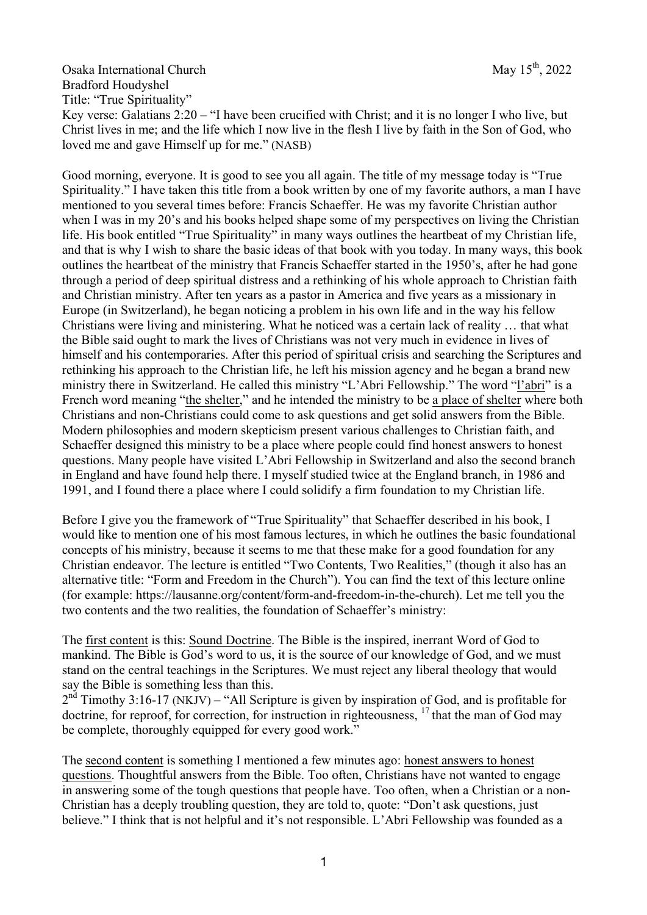Osaka International Church May 15<sup>th</sup>, 2022 Bradford Houdyshel Title: "True Spirituality" Key verse: Galatians 2:20 – "I have been crucified with Christ; and it is no longer I who live, but Christ lives in me; and the life which I now live in the flesh I live by faith in the Son of God, who loved me and gave Himself up for me." (NASB)

Good morning, everyone. It is good to see you all again. The title of my message today is "True Spirituality." I have taken this title from a book written by one of my favorite authors, a man I have mentioned to you several times before: Francis Schaeffer. He was my favorite Christian author when I was in my 20's and his books helped shape some of my perspectives on living the Christian life. His book entitled "True Spirituality" in many ways outlines the heartbeat of my Christian life, and that is why I wish to share the basic ideas of that book with you today. In many ways, this book outlines the heartbeat of the ministry that Francis Schaeffer started in the 1950's, after he had gone through a period of deep spiritual distress and a rethinking of his whole approach to Christian faith and Christian ministry. After ten years as a pastor in America and five years as a missionary in Europe (in Switzerland), he began noticing a problem in his own life and in the way his fellow Christians were living and ministering. What he noticed was a certain lack of reality … that what the Bible said ought to mark the lives of Christians was not very much in evidence in lives of himself and his contemporaries. After this period of spiritual crisis and searching the Scriptures and rethinking his approach to the Christian life, he left his mission agency and he began a brand new ministry there in Switzerland. He called this ministry "L'Abri Fellowship." The word "l'abri" is a French word meaning "the shelter," and he intended the ministry to be a place of shelter where both Christians and non-Christians could come to ask questions and get solid answers from the Bible. Modern philosophies and modern skepticism present various challenges to Christian faith, and Schaeffer designed this ministry to be a place where people could find honest answers to honest questions. Many people have visited L'Abri Fellowship in Switzerland and also the second branch in England and have found help there. I myself studied twice at the England branch, in 1986 and 1991, and I found there a place where I could solidify a firm foundation to my Christian life.

Before I give you the framework of "True Spirituality" that Schaeffer described in his book, I would like to mention one of his most famous lectures, in which he outlines the basic foundational concepts of his ministry, because it seems to me that these make for a good foundation for any Christian endeavor. The lecture is entitled "Two Contents, Two Realities," (though it also has an alternative title: "Form and Freedom in the Church"). You can find the text of this lecture online (for example: https://lausanne.org/content/form-and-freedom-in-the-church). Let me tell you the two contents and the two realities, the foundation of Schaeffer's ministry:

The first content is this: Sound Doctrine. The Bible is the inspired, inerrant Word of God to mankind. The Bible is God's word to us, it is the source of our knowledge of God, and we must stand on the central teachings in the Scriptures. We must reject any liberal theology that would say the Bible is something less than this.

 $2<sup>nd</sup>$  Timothy 3:16-17 (NKJV) – "All Scripture is given by inspiration of God, and is profitable for doctrine, for reproof, for correction, for instruction in righteousness,  $17$  that the man of God may be complete, thoroughly equipped for every good work."

The second content is something I mentioned a few minutes ago: honest answers to honest questions. Thoughtful answers from the Bible. Too often, Christians have not wanted to engage in answering some of the tough questions that people have. Too often, when a Christian or a non-Christian has a deeply troubling question, they are told to, quote: "Don't ask questions, just believe." I think that is not helpful and it's not responsible. L'Abri Fellowship was founded as a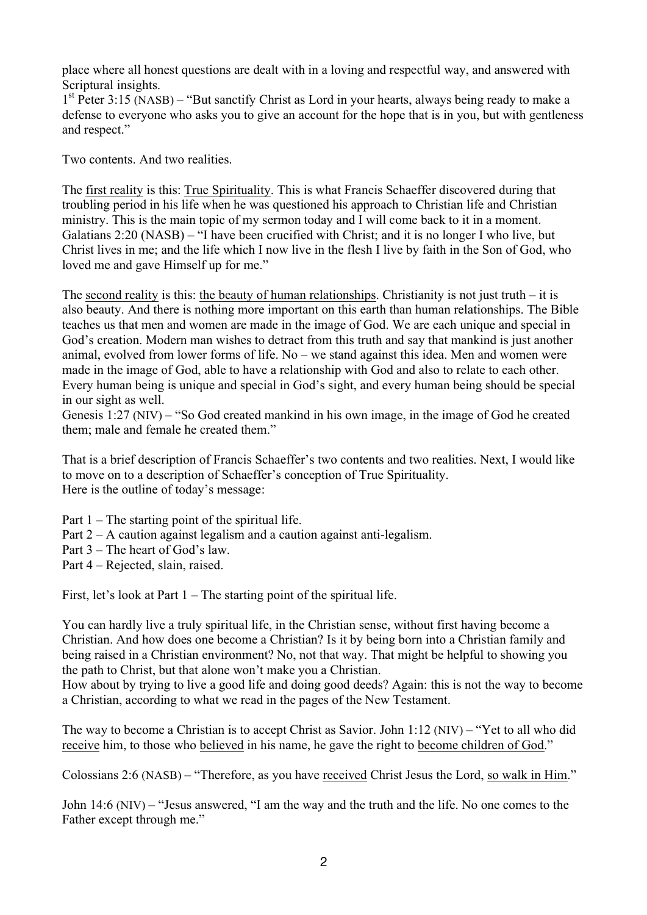place where all honest questions are dealt with in a loving and respectful way, and answered with Scriptural insights.

 $1<sup>st</sup>$  Peter 3:15 (NASB) – "But sanctify Christ as Lord in your hearts, always being ready to make a defense to everyone who asks you to give an account for the hope that is in you, but with gentleness and respect."

Two contents. And two realities.

The first reality is this: True Spirituality. This is what Francis Schaeffer discovered during that troubling period in his life when he was questioned his approach to Christian life and Christian ministry. This is the main topic of my sermon today and I will come back to it in a moment. Galatians 2:20 (NASB) – "I have been crucified with Christ; and it is no longer I who live, but Christ lives in me; and the life which I now live in the flesh I live by faith in the Son of God, who loved me and gave Himself up for me."

The second reality is this: the beauty of human relationships. Christianity is not just truth – it is also beauty. And there is nothing more important on this earth than human relationships. The Bible teaches us that men and women are made in the image of God. We are each unique and special in God's creation. Modern man wishes to detract from this truth and say that mankind is just another animal, evolved from lower forms of life. No – we stand against this idea. Men and women were made in the image of God, able to have a relationship with God and also to relate to each other. Every human being is unique and special in God's sight, and every human being should be special in our sight as well.

Genesis 1:27 (NIV) – "So God created mankind in his own image, in the image of God he created them; male and female he created them."

That is a brief description of Francis Schaeffer's two contents and two realities. Next, I would like to move on to a description of Schaeffer's conception of True Spirituality. Here is the outline of today's message:

Part 1 – The starting point of the spiritual life.

Part 2 – A caution against legalism and a caution against anti-legalism.

Part 3 – The heart of God's law.

Part 4 – Rejected, slain, raised.

First, let's look at Part  $1 -$ The starting point of the spiritual life.

You can hardly live a truly spiritual life, in the Christian sense, without first having become a Christian. And how does one become a Christian? Is it by being born into a Christian family and being raised in a Christian environment? No, not that way. That might be helpful to showing you the path to Christ, but that alone won't make you a Christian.

How about by trying to live a good life and doing good deeds? Again: this is not the way to become a Christian, according to what we read in the pages of the New Testament.

The way to become a Christian is to accept Christ as Savior. John 1:12 (NIV) – "Yet to all who did receive him, to those who believed in his name, he gave the right to become children of God."

Colossians 2:6 (NASB) – "Therefore, as you have received Christ Jesus the Lord, so walk in Him."

John 14:6 (NIV) – "Jesus answered, "I am the way and the truth and the life. No one comes to the Father except through me."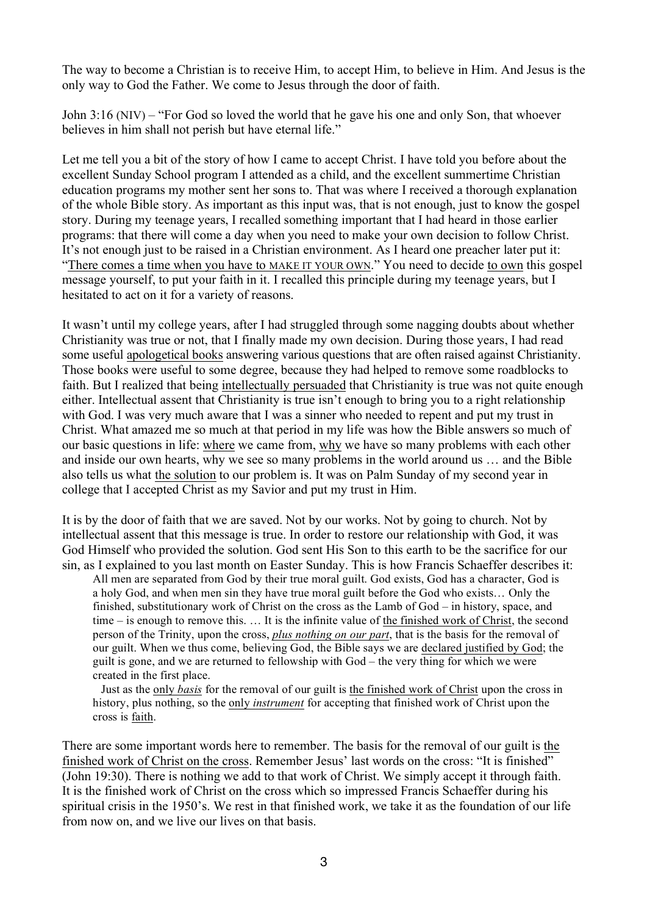The way to become a Christian is to receive Him, to accept Him, to believe in Him. And Jesus is the only way to God the Father. We come to Jesus through the door of faith.

John 3:16 (NIV) – "For God so loved the world that he gave his one and only Son, that whoever believes in him shall not perish but have eternal life."

Let me tell you a bit of the story of how I came to accept Christ. I have told you before about the excellent Sunday School program I attended as a child, and the excellent summertime Christian education programs my mother sent her sons to. That was where I received a thorough explanation of the whole Bible story. As important as this input was, that is not enough, just to know the gospel story. During my teenage years, I recalled something important that I had heard in those earlier programs: that there will come a day when you need to make your own decision to follow Christ. It's not enough just to be raised in a Christian environment. As I heard one preacher later put it: "There comes a time when you have to MAKE IT YOUR OWN." You need to decide to own this gospel message yourself, to put your faith in it. I recalled this principle during my teenage years, but I hesitated to act on it for a variety of reasons.

It wasn't until my college years, after I had struggled through some nagging doubts about whether Christianity was true or not, that I finally made my own decision. During those years, I had read some useful apologetical books answering various questions that are often raised against Christianity. Those books were useful to some degree, because they had helped to remove some roadblocks to faith. But I realized that being intellectually persuaded that Christianity is true was not quite enough either. Intellectual assent that Christianity is true isn't enough to bring you to a right relationship with God. I was very much aware that I was a sinner who needed to repent and put my trust in Christ. What amazed me so much at that period in my life was how the Bible answers so much of our basic questions in life: where we came from, why we have so many problems with each other and inside our own hearts, why we see so many problems in the world around us … and the Bible also tells us what the solution to our problem is. It was on Palm Sunday of my second year in college that I accepted Christ as my Savior and put my trust in Him.

It is by the door of faith that we are saved. Not by our works. Not by going to church. Not by intellectual assent that this message is true. In order to restore our relationship with God, it was God Himself who provided the solution. God sent His Son to this earth to be the sacrifice for our sin, as I explained to you last month on Easter Sunday. This is how Francis Schaeffer describes it:

All men are separated from God by their true moral guilt. God exists, God has a character, God is a holy God, and when men sin they have true moral guilt before the God who exists… Only the finished, substitutionary work of Christ on the cross as the Lamb of God – in history, space, and time – is enough to remove this. … It is the infinite value of the finished work of Christ, the second person of the Trinity, upon the cross, *plus nothing on our part*, that is the basis for the removal of our guilt. When we thus come, believing God, the Bible says we are declared justified by God; the guilt is gone, and we are returned to fellowship with God – the very thing for which we were created in the first place.

Just as the only *basis* for the removal of our guilt is the finished work of Christ upon the cross in history, plus nothing, so the only *instrument* for accepting that finished work of Christ upon the cross is faith.

There are some important words here to remember. The basis for the removal of our guilt is the finished work of Christ on the cross. Remember Jesus' last words on the cross: "It is finished" (John 19:30). There is nothing we add to that work of Christ. We simply accept it through faith. It is the finished work of Christ on the cross which so impressed Francis Schaeffer during his spiritual crisis in the 1950's. We rest in that finished work, we take it as the foundation of our life from now on, and we live our lives on that basis.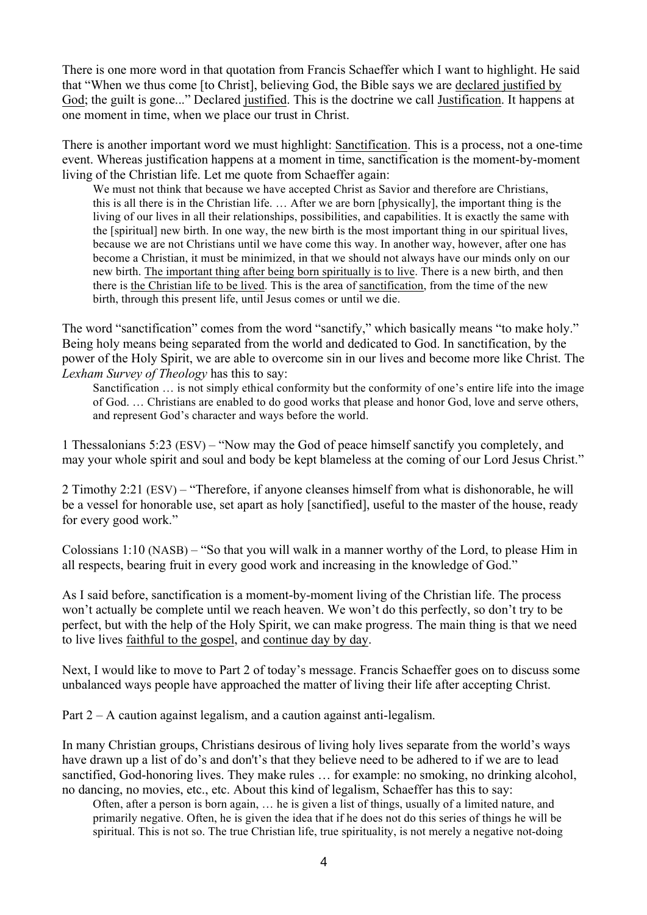There is one more word in that quotation from Francis Schaeffer which I want to highlight. He said that "When we thus come [to Christ], believing God, the Bible says we are declared justified by God; the guilt is gone..." Declared justified. This is the doctrine we call Justification. It happens at one moment in time, when we place our trust in Christ.

There is another important word we must highlight: Sanctification. This is a process, not a one-time event. Whereas justification happens at a moment in time, sanctification is the moment-by-moment living of the Christian life. Let me quote from Schaeffer again:

We must not think that because we have accepted Christ as Savior and therefore are Christians, this is all there is in the Christian life. … After we are born [physically], the important thing is the living of our lives in all their relationships, possibilities, and capabilities. It is exactly the same with the [spiritual] new birth. In one way, the new birth is the most important thing in our spiritual lives, because we are not Christians until we have come this way. In another way, however, after one has become a Christian, it must be minimized, in that we should not always have our minds only on our new birth. The important thing after being born spiritually is to live. There is a new birth, and then there is the Christian life to be lived. This is the area of sanctification, from the time of the new birth, through this present life, until Jesus comes or until we die.

The word "sanctification" comes from the word "sanctify," which basically means "to make holy." Being holy means being separated from the world and dedicated to God. In sanctification, by the power of the Holy Spirit, we are able to overcome sin in our lives and become more like Christ. The *Lexham Survey of Theology* has this to say:

Sanctification … is not simply ethical conformity but the conformity of one's entire life into the image of God. … Christians are enabled to do good works that please and honor God, love and serve others, and represent God's character and ways before the world.

1 Thessalonians 5:23 (ESV) – "Now may the God of peace himself sanctify you completely, and may your whole spirit and soul and body be kept blameless at the coming of our Lord Jesus Christ."

2 Timothy 2:21 (ESV) – "Therefore, if anyone cleanses himself from what is dishonorable, he will be a vessel for honorable use, set apart as holy [sanctified], useful to the master of the house, ready for every good work."

Colossians 1:10 (NASB) – "So that you will walk in a manner worthy of the Lord, to please Him in all respects, bearing fruit in every good work and increasing in the knowledge of God."

As I said before, sanctification is a moment-by-moment living of the Christian life. The process won't actually be complete until we reach heaven. We won't do this perfectly, so don't try to be perfect, but with the help of the Holy Spirit, we can make progress. The main thing is that we need to live lives faithful to the gospel, and continue day by day.

Next, I would like to move to Part 2 of today's message. Francis Schaeffer goes on to discuss some unbalanced ways people have approached the matter of living their life after accepting Christ.

Part 2 – A caution against legalism, and a caution against anti-legalism.

In many Christian groups, Christians desirous of living holy lives separate from the world's ways have drawn up a list of do's and don't's that they believe need to be adhered to if we are to lead sanctified, God-honoring lives. They make rules … for example: no smoking, no drinking alcohol, no dancing, no movies, etc., etc. About this kind of legalism, Schaeffer has this to say:

Often, after a person is born again, … he is given a list of things, usually of a limited nature, and primarily negative. Often, he is given the idea that if he does not do this series of things he will be spiritual. This is not so. The true Christian life, true spirituality, is not merely a negative not-doing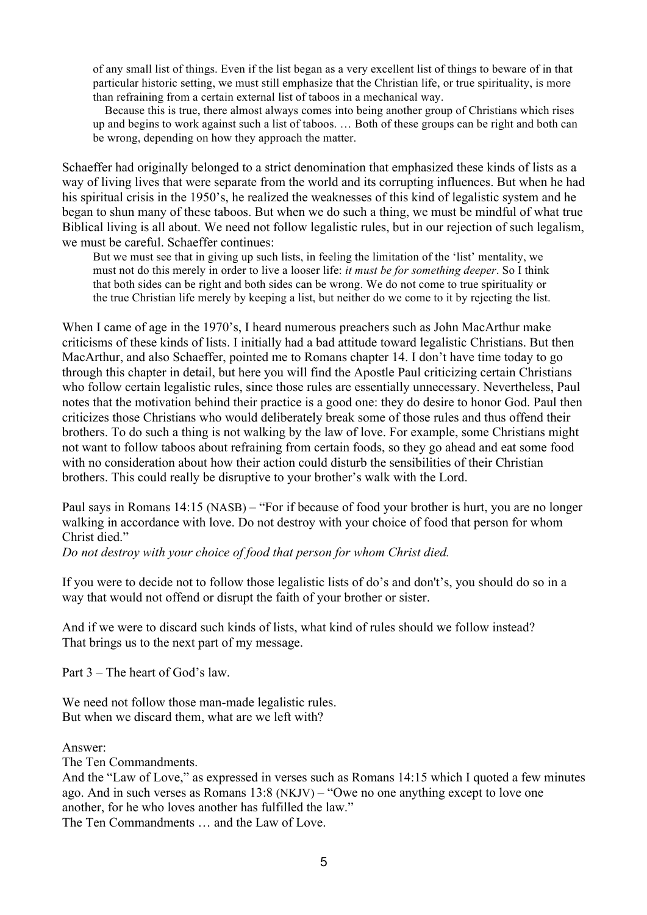of any small list of things. Even if the list began as a very excellent list of things to beware of in that particular historic setting, we must still emphasize that the Christian life, or true spirituality, is more than refraining from a certain external list of taboos in a mechanical way.

 Because this is true, there almost always comes into being another group of Christians which rises up and begins to work against such a list of taboos. … Both of these groups can be right and both can be wrong, depending on how they approach the matter.

Schaeffer had originally belonged to a strict denomination that emphasized these kinds of lists as a way of living lives that were separate from the world and its corrupting influences. But when he had his spiritual crisis in the 1950's, he realized the weaknesses of this kind of legalistic system and he began to shun many of these taboos. But when we do such a thing, we must be mindful of what true Biblical living is all about. We need not follow legalistic rules, but in our rejection of such legalism, we must be careful. Schaeffer continues:

But we must see that in giving up such lists, in feeling the limitation of the 'list' mentality, we must not do this merely in order to live a looser life: *it must be for something deeper*. So I think that both sides can be right and both sides can be wrong. We do not come to true spirituality or the true Christian life merely by keeping a list, but neither do we come to it by rejecting the list.

When I came of age in the 1970's, I heard numerous preachers such as John MacArthur make criticisms of these kinds of lists. I initially had a bad attitude toward legalistic Christians. But then MacArthur, and also Schaeffer, pointed me to Romans chapter 14. I don't have time today to go through this chapter in detail, but here you will find the Apostle Paul criticizing certain Christians who follow certain legalistic rules, since those rules are essentially unnecessary. Nevertheless, Paul notes that the motivation behind their practice is a good one: they do desire to honor God. Paul then criticizes those Christians who would deliberately break some of those rules and thus offend their brothers. To do such a thing is not walking by the law of love. For example, some Christians might not want to follow taboos about refraining from certain foods, so they go ahead and eat some food with no consideration about how their action could disturb the sensibilities of their Christian brothers. This could really be disruptive to your brother's walk with the Lord.

Paul says in Romans 14:15 (NASB) – "For if because of food your brother is hurt, you are no longer walking in accordance with love. Do not destroy with your choice of food that person for whom Christ died."

*Do not destroy with your choice of food that person for whom Christ died.*

If you were to decide not to follow those legalistic lists of do's and don't's, you should do so in a way that would not offend or disrupt the faith of your brother or sister.

And if we were to discard such kinds of lists, what kind of rules should we follow instead? That brings us to the next part of my message.

Part 3 – The heart of God's law.

We need not follow those man-made legalistic rules. But when we discard them, what are we left with?

Answer:

The Ten Commandments.

And the "Law of Love," as expressed in verses such as Romans 14:15 which I quoted a few minutes ago. And in such verses as Romans 13:8 (NKJV) – "Owe no one anything except to love one another, for he who loves another has fulfilled the law."

The Ten Commandments … and the Law of Love.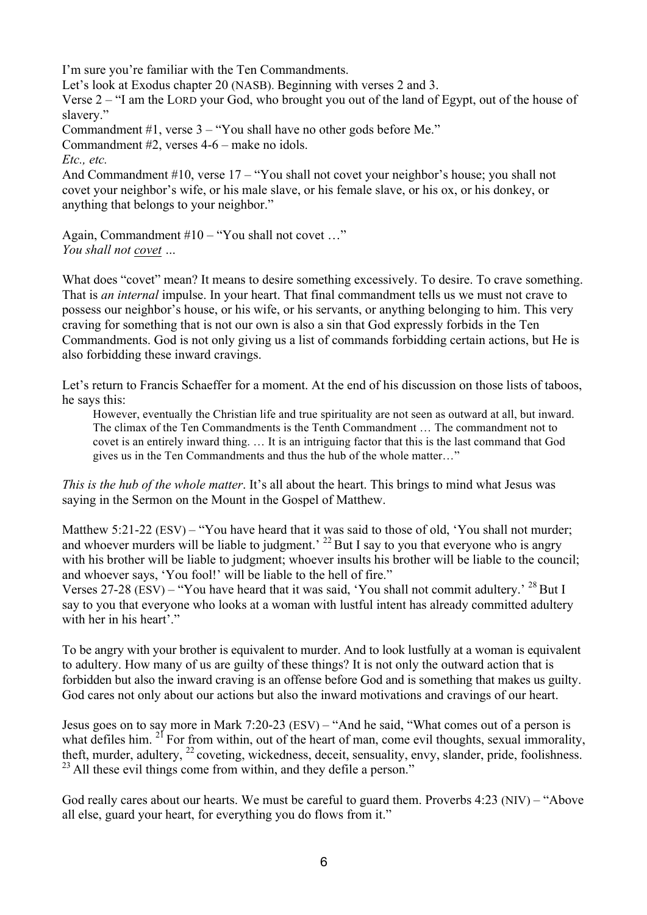I'm sure you're familiar with the Ten Commandments. Let's look at Exodus chapter 20 (NASB). Beginning with verses 2 and 3. Verse 2 – "I am the LORD your God, who brought you out of the land of Egypt, out of the house of slavery" Commandment #1, verse 3 – "You shall have no other gods before Me." Commandment #2, verses 4-6 – make no idols. *Etc., etc.* And Commandment #10, verse 17 – "You shall not covet your neighbor's house; you shall not covet your neighbor's wife, or his male slave, or his female slave, or his ox, or his donkey, or anything that belongs to your neighbor."

Again, Commandment #10 – "You shall not covet …" *You shall not covet …*

What does "covet" mean? It means to desire something excessively. To desire. To crave something. That is *an internal* impulse. In your heart. That final commandment tells us we must not crave to possess our neighbor's house, or his wife, or his servants, or anything belonging to him. This very craving for something that is not our own is also a sin that God expressly forbids in the Ten Commandments. God is not only giving us a list of commands forbidding certain actions, but He is also forbidding these inward cravings.

Let's return to Francis Schaeffer for a moment. At the end of his discussion on those lists of taboos, he says this:

However, eventually the Christian life and true spirituality are not seen as outward at all, but inward. The climax of the Ten Commandments is the Tenth Commandment … The commandment not to covet is an entirely inward thing. … It is an intriguing factor that this is the last command that God gives us in the Ten Commandments and thus the hub of the whole matter…"

*This is the hub of the whole matter*. It's all about the heart. This brings to mind what Jesus was saying in the Sermon on the Mount in the Gospel of Matthew.

Matthew 5:21-22 (ESV) – "You have heard that it was said to those of old, 'You shall not murder; and whoever murders will be liable to judgment.<sup>22</sup> But I say to you that everyone who is angry with his brother will be liable to judgment; whoever insults his brother will be liable to the council; and whoever says, 'You fool!' will be liable to the hell of fire."

Verses 27-28 (ESV) – "You have heard that it was said, 'You shall not commit adultery.'  $^{28}$  But I say to you that everyone who looks at a woman with lustful intent has already committed adultery with her in his heart'."

To be angry with your brother is equivalent to murder. And to look lustfully at a woman is equivalent to adultery. How many of us are guilty of these things? It is not only the outward action that is forbidden but also the inward craving is an offense before God and is something that makes us guilty. God cares not only about our actions but also the inward motivations and cravings of our heart.

Jesus goes on to say more in Mark 7:20-23 (ESV) – "And he said, "What comes out of a person is what defiles him.  $2^{1}$  For from within, out of the heart of man, come evil thoughts, sexual immorality, theft, murder, adultery, <sup>22</sup> coveting, wickedness, deceit, sensuality, envy, slander, pride, foolishness.  $^{23}$  All these evil things come from within, and they defile a person."

God really cares about our hearts. We must be careful to guard them. Proverbs 4:23 (NIV) – "Above all else, guard your heart, for everything you do flows from it."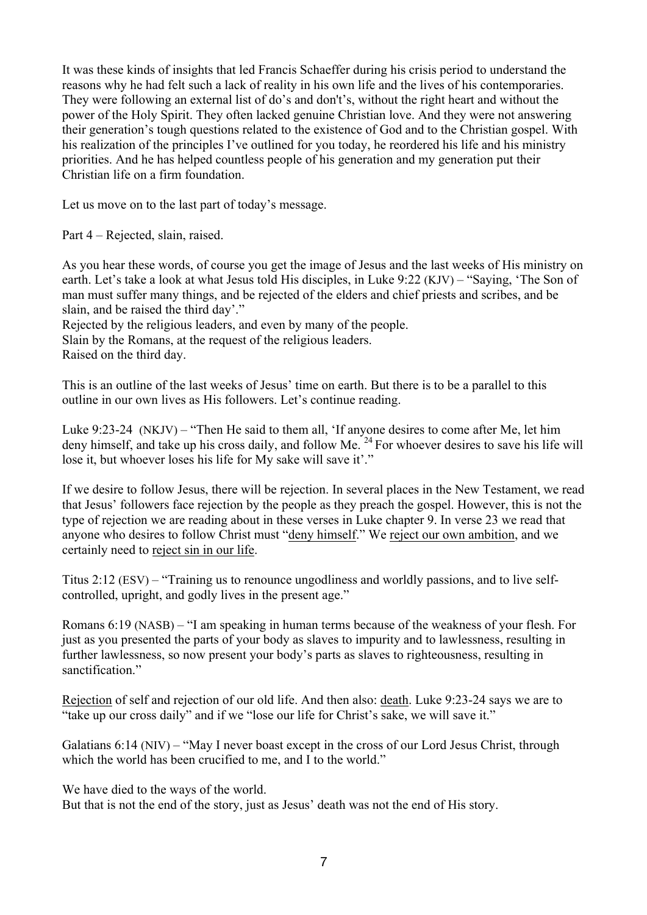It was these kinds of insights that led Francis Schaeffer during his crisis period to understand the reasons why he had felt such a lack of reality in his own life and the lives of his contemporaries. They were following an external list of do's and don't's, without the right heart and without the power of the Holy Spirit. They often lacked genuine Christian love. And they were not answering their generation's tough questions related to the existence of God and to the Christian gospel. With his realization of the principles I've outlined for you today, he reordered his life and his ministry priorities. And he has helped countless people of his generation and my generation put their Christian life on a firm foundation.

Let us move on to the last part of today's message.

Part 4 – Rejected, slain, raised.

As you hear these words, of course you get the image of Jesus and the last weeks of His ministry on earth. Let's take a look at what Jesus told His disciples, in Luke 9:22 (KJV) – "Saying, 'The Son of man must suffer many things, and be rejected of the elders and chief priests and scribes, and be slain, and be raised the third day'."

Rejected by the religious leaders, and even by many of the people. Slain by the Romans, at the request of the religious leaders. Raised on the third day.

This is an outline of the last weeks of Jesus' time on earth. But there is to be a parallel to this outline in our own lives as His followers. Let's continue reading.

Luke 9:23-24 (NKJV) – "Then He said to them all, 'If anyone desires to come after Me, let him deny himself, and take up his cross daily, and follow Me.<sup>24</sup> For whoever desires to save his life will lose it, but whoever loses his life for My sake will save it'."

If we desire to follow Jesus, there will be rejection. In several places in the New Testament, we read that Jesus' followers face rejection by the people as they preach the gospel. However, this is not the type of rejection we are reading about in these verses in Luke chapter 9. In verse 23 we read that anyone who desires to follow Christ must "deny himself." We reject our own ambition, and we certainly need to reject sin in our life.

Titus 2:12 (ESV) – "Training us to renounce ungodliness and worldly passions, and to live selfcontrolled, upright, and godly lives in the present age."

Romans 6:19 (NASB) – "I am speaking in human terms because of the weakness of your flesh. For just as you presented the parts of your body as slaves to impurity and to lawlessness, resulting in further lawlessness, so now present your body's parts as slaves to righteousness, resulting in sanctification."

Rejection of self and rejection of our old life. And then also: death. Luke 9:23-24 says we are to "take up our cross daily" and if we "lose our life for Christ's sake, we will save it."

Galatians 6:14 (NIV) – "May I never boast except in the cross of our Lord Jesus Christ, through which the world has been crucified to me, and I to the world."

We have died to the ways of the world.

But that is not the end of the story, just as Jesus' death was not the end of His story.